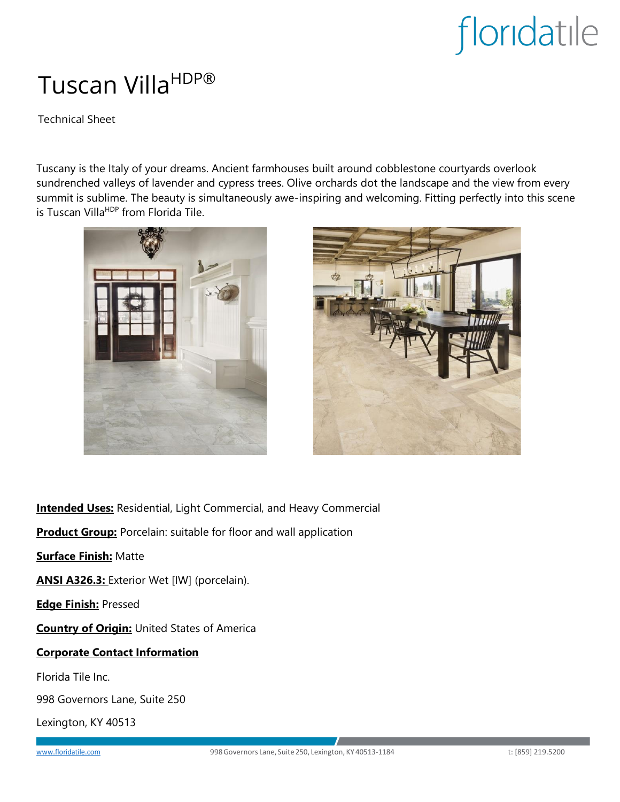# Tuscan Villa<sup>HDP®</sup>

Technical Sheet

Tuscany is the Italy of your dreams. Ancient farmhouses built around cobblestone courtyards overlook sundrenched valleys of lavender and cypress trees. Olive orchards dot the landscape and the view from every summit is sublime. The beauty is simultaneously awe-inspiring and welcoming. Fitting perfectly into this scene is Tuscan Villa<sup>HDP</sup> from Florida Tile.





**Intended Uses:** Residential, Light Commercial, and Heavy Commercial

**Product Group:** Porcelain: suitable for floor and wall application

**Surface Finish:** Matte

**ANSI A326.3:** Exterior Wet [IW] (porcelain).

**Edge Finish:** Pressed

**Country of Origin:** United States of America

#### **Corporate Contact Information**

Florida Tile Inc.

998 Governors Lane, Suite 250

Lexington, KY 40513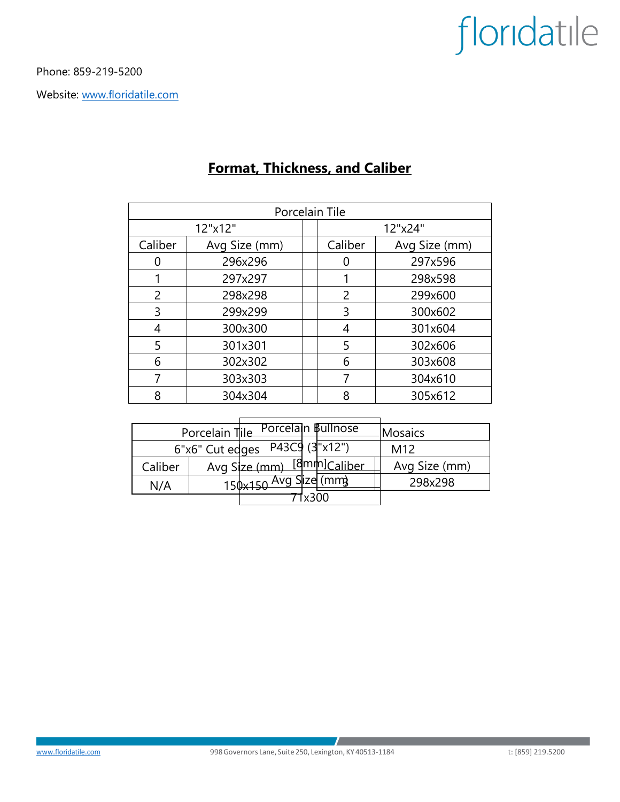Phone: 859-219-5200

Website: [www.floridatile.com](file://///fti-lbg/Users/oudehm/Library/Containers/com.microsoft.Word/Data/Desktop/www.floridatile.com)

| Porcelain Tile |               |  |         |               |  |  |  |
|----------------|---------------|--|---------|---------------|--|--|--|
| 12"x12"        |               |  | 12"x24" |               |  |  |  |
| Caliber        | Avg Size (mm) |  | Caliber | Avg Size (mm) |  |  |  |
|                | 296x296       |  | O       | 297x596       |  |  |  |
|                | 297x297       |  |         | 298x598       |  |  |  |
| 2              | 298x298       |  | 2       | 299x600       |  |  |  |
| 3              | 299x299       |  | 3       | 300x602       |  |  |  |
| 4              | 300x300       |  | 4       | 301x604       |  |  |  |
| 5              | 301x301       |  | 5       | 302x606       |  |  |  |
| 6              | 302x302       |  | 6       | 303x608       |  |  |  |
| 7              | 303x303       |  | 7       | 304x610       |  |  |  |
| 8              | 304x304       |  | Я       | 305x612       |  |  |  |

### **Format, Thickness, and Caliber**

| Porcelain Tile Porcelain Bullnose           |  |                  |                          | Mosaics       |
|---------------------------------------------|--|------------------|--------------------------|---------------|
| 6"x6" Cut edges P43C9 $(3"x\overline{12")}$ |  |                  |                          | M12           |
| Caliber                                     |  | Avg Size (mm)    | [8mm] <sub>Caliber</sub> | Avg Size (mm) |
| N/A                                         |  | $150 \times 150$ | Slize (mm)               | 298x298       |
| 005v <sub>1</sub>                           |  |                  |                          |               |

 $\mathcal{L}$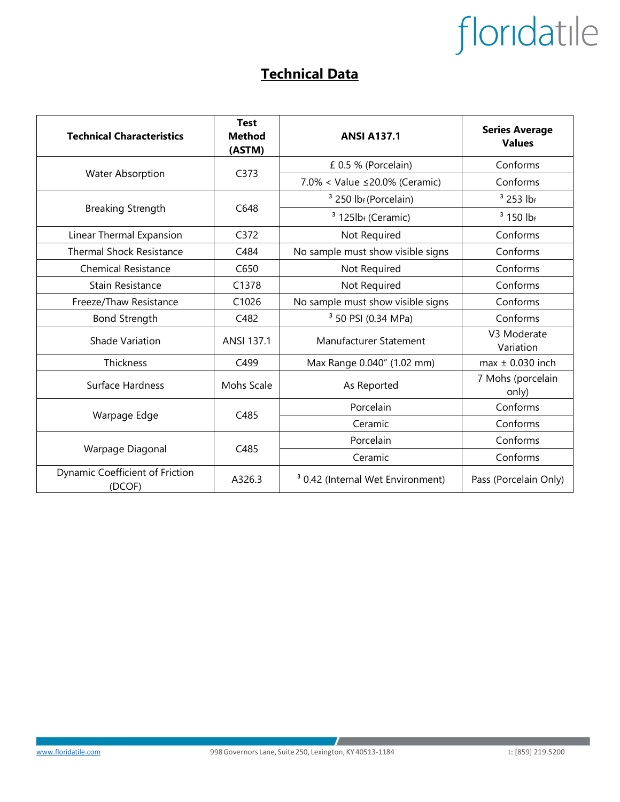### **Technical Data**

| <b>Technical Characteristics</b>          | <b>Test</b><br><b>Method</b><br>(ASTM) | <b>ANSI A137.1</b>                           | <b>Series Average</b><br><b>Values</b> |
|-------------------------------------------|----------------------------------------|----------------------------------------------|----------------------------------------|
|                                           | C373                                   | £ 0.5 % (Porcelain)                          | Conforms                               |
| <b>Water Absorption</b>                   |                                        | 7.0% < Value ≤20.0% (Ceramic)                | Conforms                               |
|                                           | C648                                   | <sup>3</sup> 250 lb <sub>f</sub> (Porcelain) | $3$ 253 lbf                            |
| <b>Breaking Strength</b>                  |                                        | $3$ 125lb <sub>f</sub> (Ceramic)             | $3$ 150 lbf                            |
| Linear Thermal Expansion                  | C372                                   | Not Required                                 | Conforms                               |
| <b>Thermal Shock Resistance</b>           | C484                                   | No sample must show visible signs            | Conforms                               |
| <b>Chemical Resistance</b>                | C650                                   | Not Required                                 | Conforms                               |
| Stain Resistance                          | C1378                                  | Not Required                                 | Conforms                               |
| Freeze/Thaw Resistance                    | C1026                                  | No sample must show visible signs            | Conforms                               |
| <b>Bond Strength</b>                      | C482                                   | <sup>3</sup> 50 PSI (0.34 MPa)               | Conforms                               |
| <b>Shade Variation</b>                    | ANSI 137.1                             | Manufacturer Statement                       | V3 Moderate<br>Variation               |
| Thickness                                 | C499                                   | Max Range 0.040" (1.02 mm)                   | $max \pm 0.030$ inch                   |
| Surface Hardness                          | Mohs Scale                             | As Reported                                  | 7 Mohs (porcelain<br>only)             |
|                                           | C485                                   | Porcelain                                    | Conforms                               |
| Warpage Edge                              |                                        | Ceramic                                      | Conforms                               |
|                                           | C485                                   | Porcelain                                    | Conforms                               |
| Warpage Diagonal                          |                                        | Ceramic                                      | Conforms                               |
| Dynamic Coefficient of Friction<br>(DCOF) | A326.3                                 | <sup>3</sup> 0.42 (Internal Wet Environment) | Pass (Porcelain Only)                  |

 $\mathcal{L}$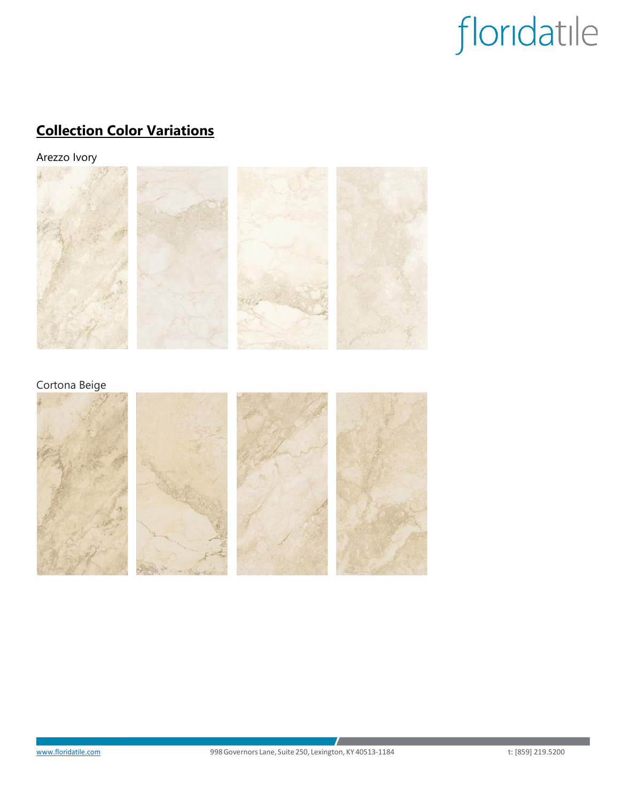## **Collection Color Variations**

Arezzo Ivory



### Cortona Beige

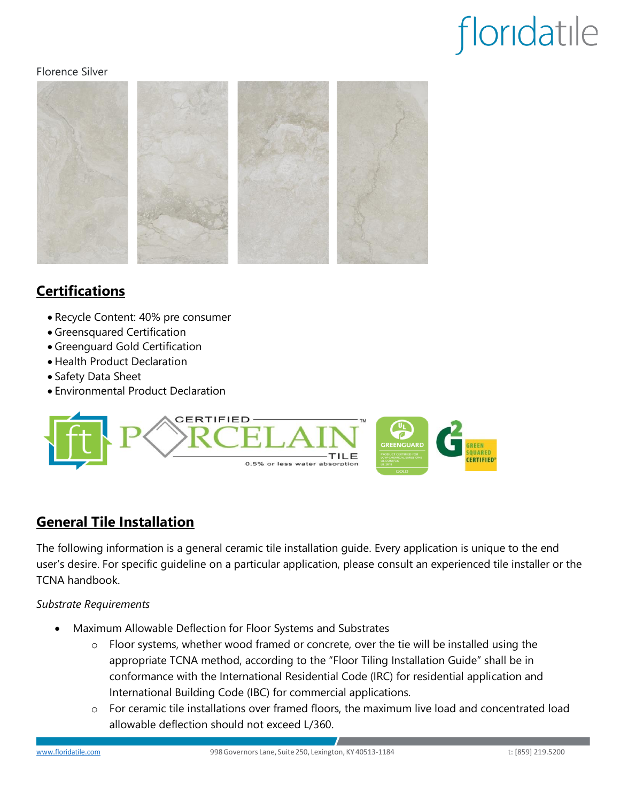#### Florence Silver



### **Certifications**

- Recycle Content: 40% pre consumer
- Greensquared Certification
- Greenguard Gold Certification
- Health Product Declaration
- Safety Data Sheet
- Environmental Product Declaration



### **General Tile Installation**

The following information is a general ceramic tile installation guide. Every application is unique to the end user's desire. For specific guideline on a particular application, please consult an experienced tile installer or the TCNA handbook.

#### *Substrate Requirements*

- Maximum Allowable Deflection for Floor Systems and Substrates
	- $\circ$  Floor systems, whether wood framed or concrete, over the tie will be installed using the appropriate TCNA method, according to the "Floor Tiling Installation Guide" shall be in conformance with the International Residential Code (IRC) for residential application and International Building Code (IBC) for commercial applications.
	- o For ceramic tile installations over framed floors, the maximum live load and concentrated load allowable deflection should not exceed L/360.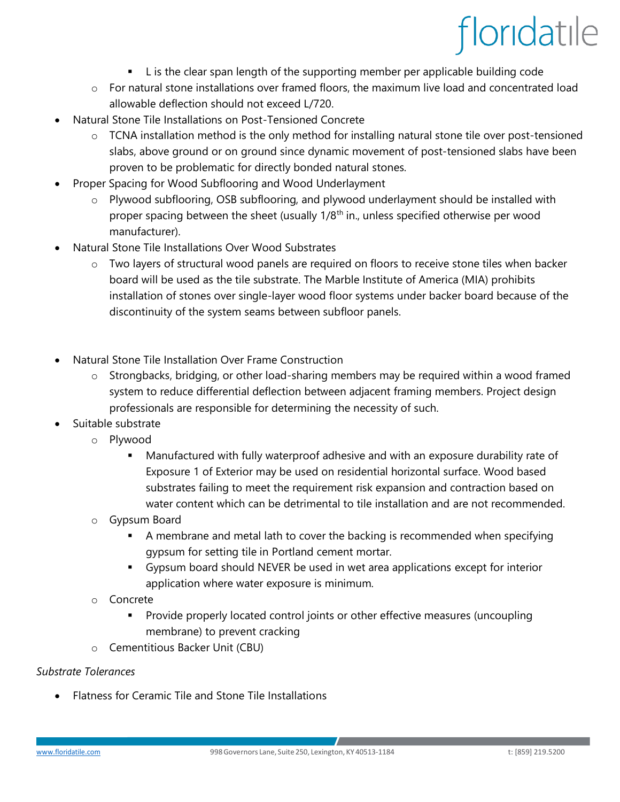- L is the clear span length of the supporting member per applicable building code
- o For natural stone installations over framed floors, the maximum live load and concentrated load allowable deflection should not exceed L/720.
- Natural Stone Tile Installations on Post-Tensioned Concrete
	- o TCNA installation method is the only method for installing natural stone tile over post-tensioned slabs, above ground or on ground since dynamic movement of post-tensioned slabs have been proven to be problematic for directly bonded natural stones.
- Proper Spacing for Wood Subflooring and Wood Underlayment
	- o Plywood subflooring, OSB subflooring, and plywood underlayment should be installed with proper spacing between the sheet (usually  $1/8<sup>th</sup>$  in., unless specified otherwise per wood manufacturer).
- Natural Stone Tile Installations Over Wood Substrates
	- $\circ$  Two layers of structural wood panels are required on floors to receive stone tiles when backer board will be used as the tile substrate. The Marble Institute of America (MIA) prohibits installation of stones over single-layer wood floor systems under backer board because of the discontinuity of the system seams between subfloor panels.
- Natural Stone Tile Installation Over Frame Construction
	- $\circ$  Strongbacks, bridging, or other load-sharing members may be required within a wood framed system to reduce differential deflection between adjacent framing members. Project design professionals are responsible for determining the necessity of such.
- Suitable substrate
	- o Plywood
		- **■** Manufactured with fully waterproof adhesive and with an exposure durability rate of Exposure 1 of Exterior may be used on residential horizontal surface. Wood based substrates failing to meet the requirement risk expansion and contraction based on water content which can be detrimental to tile installation and are not recommended.
	- o Gypsum Board
		- A membrane and metal lath to cover the backing is recommended when specifying gypsum for setting tile in Portland cement mortar.
		- Gypsum board should NEVER be used in wet area applications except for interior application where water exposure is minimum.
	- o Concrete
		- **•** Provide properly located control joints or other effective measures (uncoupling membrane) to prevent cracking
	- o Cementitious Backer Unit (CBU)

#### *Substrate Tolerances*

• Flatness for Ceramic Tile and Stone Tile Installations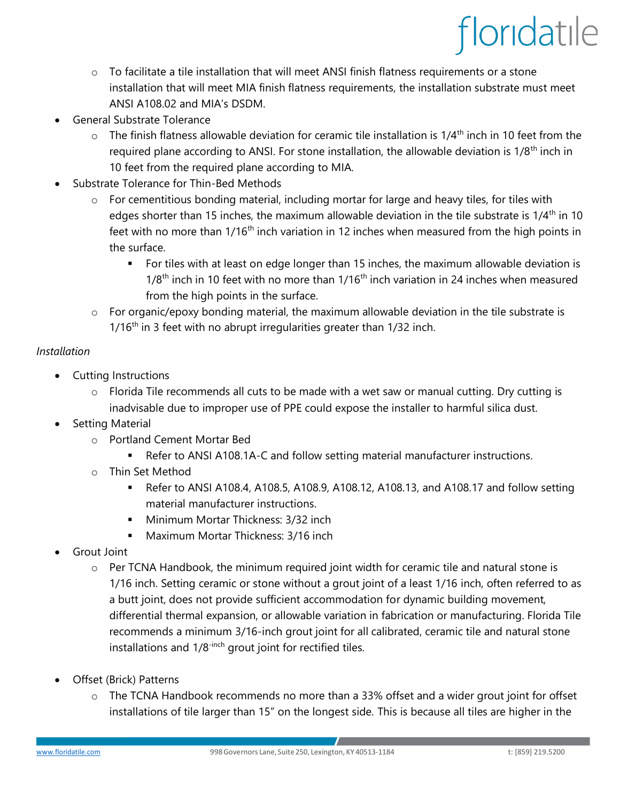- $\circ$  To facilitate a tile installation that will meet ANSI finish flatness requirements or a stone installation that will meet MIA finish flatness requirements, the installation substrate must meet ANSI A108.02 and MIA's DSDM.
- General Substrate Tolerance
	- $\circ$  The finish flatness allowable deviation for ceramic tile installation is 1/4<sup>th</sup> inch in 10 feet from the required plane according to ANSI. For stone installation, the allowable deviation is  $1/8<sup>th</sup>$  inch in 10 feet from the required plane according to MIA.
- Substrate Tolerance for Thin-Bed Methods
	- o For cementitious bonding material, including mortar for large and heavy tiles, for tiles with edges shorter than 15 inches, the maximum allowable deviation in the tile substrate is  $1/4<sup>th</sup>$  in 10 feet with no more than  $1/16<sup>th</sup>$  inch variation in 12 inches when measured from the high points in the surface.
		- For tiles with at least on edge longer than 15 inches, the maximum allowable deviation is  $1/8<sup>th</sup>$  inch in 10 feet with no more than  $1/16<sup>th</sup>$  inch variation in 24 inches when measured from the high points in the surface.
	- o For organic/epoxy bonding material, the maximum allowable deviation in the tile substrate is  $1/16<sup>th</sup>$  in 3 feet with no abrupt irregularities greater than  $1/32$  inch.

#### *Installation*

- Cutting Instructions
	- $\circ$  Florida Tile recommends all cuts to be made with a wet saw or manual cutting. Dry cutting is inadvisable due to improper use of PPE could expose the installer to harmful silica dust.
- Setting Material
	- o Portland Cement Mortar Bed
		- Refer to ANSI A108.1A-C and follow setting material manufacturer instructions.
	- o Thin Set Method
		- Refer to ANSI A108.4, A108.5, A108.9, A108.12, A108.13, and A108.17 and follow setting material manufacturer instructions.
		- **■** Minimum Mortar Thickness: 3/32 inch
		- Maximum Mortar Thickness: 3/16 inch
- Grout Joint
	- o Per TCNA Handbook, the minimum required joint width for ceramic tile and natural stone is 1/16 inch. Setting ceramic or stone without a grout joint of a least 1/16 inch, often referred to as a butt joint, does not provide sufficient accommodation for dynamic building movement, differential thermal expansion, or allowable variation in fabrication or manufacturing. Florida Tile recommends a minimum 3/16-inch grout joint for all calibrated, ceramic tile and natural stone installations and 1/8<sup>-inch</sup> grout joint for rectified tiles.
- Offset (Brick) Patterns
	- o The TCNA Handbook recommends no more than a 33% offset and a wider grout joint for offset installations of tile larger than 15" on the longest side. This is because all tiles are higher in the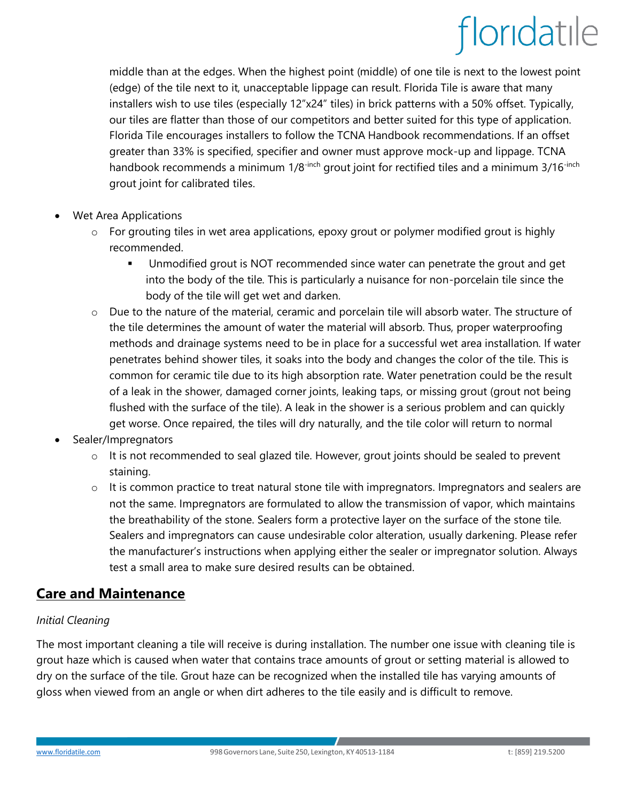middle than at the edges. When the highest point (middle) of one tile is next to the lowest point (edge) of the tile next to it, unacceptable lippage can result. Florida Tile is aware that many installers wish to use tiles (especially 12"x24" tiles) in brick patterns with a 50% offset. Typically, our tiles are flatter than those of our competitors and better suited for this type of application. Florida Tile encourages installers to follow the TCNA Handbook recommendations. If an offset greater than 33% is specified, specifier and owner must approve mock-up and lippage. TCNA handbook recommends a minimum  $1/8^{-\text{inch}}$  grout joint for rectified tiles and a minimum  $3/16^{-\text{inch}}$ grout joint for calibrated tiles.

- Wet Area Applications
	- o For grouting tiles in wet area applications, epoxy grout or polymer modified grout is highly recommended.
		- Unmodified grout is NOT recommended since water can penetrate the grout and get into the body of the tile. This is particularly a nuisance for non-porcelain tile since the body of the tile will get wet and darken.
	- o Due to the nature of the material, ceramic and porcelain tile will absorb water. The structure of the tile determines the amount of water the material will absorb. Thus, proper waterproofing methods and drainage systems need to be in place for a successful wet area installation. If water penetrates behind shower tiles, it soaks into the body and changes the color of the tile. This is common for ceramic tile due to its high absorption rate. Water penetration could be the result of a leak in the shower, damaged corner joints, leaking taps, or missing grout (grout not being flushed with the surface of the tile). A leak in the shower is a serious problem and can quickly get worse. Once repaired, the tiles will dry naturally, and the tile color will return to normal
- Sealer/Impregnators
	- $\circ$  It is not recommended to seal glazed tile. However, grout joints should be sealed to prevent staining.
	- o It is common practice to treat natural stone tile with impregnators. Impregnators and sealers are not the same. Impregnators are formulated to allow the transmission of vapor, which maintains the breathability of the stone. Sealers form a protective layer on the surface of the stone tile. Sealers and impregnators can cause undesirable color alteration, usually darkening. Please refer the manufacturer's instructions when applying either the sealer or impregnator solution. Always test a small area to make sure desired results can be obtained.

### **Care and Maintenance**

#### *Initial Cleaning*

The most important cleaning a tile will receive is during installation. The number one issue with cleaning tile is grout haze which is caused when water that contains trace amounts of grout or setting material is allowed to dry on the surface of the tile. Grout haze can be recognized when the installed tile has varying amounts of gloss when viewed from an angle or when dirt adheres to the tile easily and is difficult to remove.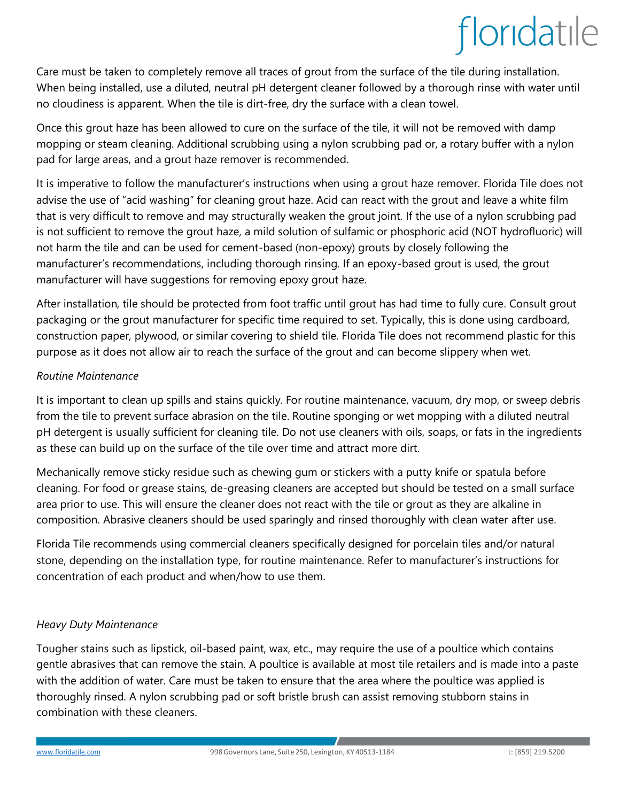Care must be taken to completely remove all traces of grout from the surface of the tile during installation. When being installed, use a diluted, neutral pH detergent cleaner followed by a thorough rinse with water until no cloudiness is apparent. When the tile is dirt-free, dry the surface with a clean towel.

Once this grout haze has been allowed to cure on the surface of the tile, it will not be removed with damp mopping or steam cleaning. Additional scrubbing using a nylon scrubbing pad or, a rotary buffer with a nylon pad for large areas, and a grout haze remover is recommended.

It is imperative to follow the manufacturer's instructions when using a grout haze remover. Florida Tile does not advise the use of "acid washing" for cleaning grout haze. Acid can react with the grout and leave a white film that is very difficult to remove and may structurally weaken the grout joint. If the use of a nylon scrubbing pad is not sufficient to remove the grout haze, a mild solution of sulfamic or phosphoric acid (NOT hydrofluoric) will not harm the tile and can be used for cement-based (non-epoxy) grouts by closely following the manufacturer's recommendations, including thorough rinsing. If an epoxy-based grout is used, the grout manufacturer will have suggestions for removing epoxy grout haze.

After installation, tile should be protected from foot traffic until grout has had time to fully cure. Consult grout packaging or the grout manufacturer for specific time required to set. Typically, this is done using cardboard, construction paper, plywood, or similar covering to shield tile. Florida Tile does not recommend plastic for this purpose as it does not allow air to reach the surface of the grout and can become slippery when wet.

#### *Routine Maintenance*

It is important to clean up spills and stains quickly. For routine maintenance, vacuum, dry mop, or sweep debris from the tile to prevent surface abrasion on the tile. Routine sponging or wet mopping with a diluted neutral pH detergent is usually sufficient for cleaning tile. Do not use cleaners with oils, soaps, or fats in the ingredients as these can build up on the surface of the tile over time and attract more dirt.

Mechanically remove sticky residue such as chewing gum or stickers with a putty knife or spatula before cleaning. For food or grease stains, de-greasing cleaners are accepted but should be tested on a small surface area prior to use. This will ensure the cleaner does not react with the tile or grout as they are alkaline in composition. Abrasive cleaners should be used sparingly and rinsed thoroughly with clean water after use.

Florida Tile recommends using commercial cleaners specifically designed for porcelain tiles and/or natural stone, depending on the installation type, for routine maintenance. Refer to manufacturer's instructions for concentration of each product and when/how to use them.

#### *Heavy Duty Maintenance*

Tougher stains such as lipstick, oil-based paint, wax, etc., may require the use of a poultice which contains gentle abrasives that can remove the stain. A poultice is available at most tile retailers and is made into a paste with the addition of water. Care must be taken to ensure that the area where the poultice was applied is thoroughly rinsed. A nylon scrubbing pad or soft bristle brush can assist removing stubborn stains in combination with these cleaners.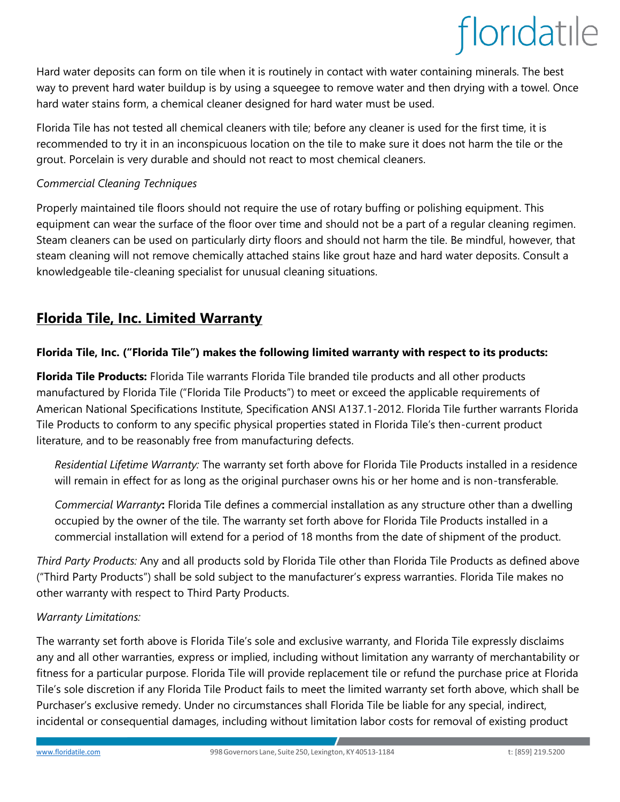Hard water deposits can form on tile when it is routinely in contact with water containing minerals. The best way to prevent hard water buildup is by using a squeegee to remove water and then drying with a towel. Once hard water stains form, a chemical cleaner designed for hard water must be used.

Florida Tile has not tested all chemical cleaners with tile; before any cleaner is used for the first time, it is recommended to try it in an inconspicuous location on the tile to make sure it does not harm the tile or the grout. Porcelain is very durable and should not react to most chemical cleaners.

#### *Commercial Cleaning Techniques*

Properly maintained tile floors should not require the use of rotary buffing or polishing equipment. This equipment can wear the surface of the floor over time and should not be a part of a regular cleaning regimen. Steam cleaners can be used on particularly dirty floors and should not harm the tile. Be mindful, however, that steam cleaning will not remove chemically attached stains like grout haze and hard water deposits. Consult a knowledgeable tile-cleaning specialist for unusual cleaning situations.

### **Florida Tile, Inc. Limited Warranty**

#### **Florida Tile, Inc. ("Florida Tile") makes the following limited warranty with respect to its products:**

**Florida Tile Products:** Florida Tile warrants Florida Tile branded tile products and all other products manufactured by Florida Tile ("Florida Tile Products") to meet or exceed the applicable requirements of American National Specifications Institute, Specification ANSI A137.1-2012. Florida Tile further warrants Florida Tile Products to conform to any specific physical properties stated in Florida Tile's then-current product literature, and to be reasonably free from manufacturing defects.

*Residential Lifetime Warranty:* The warranty set forth above for Florida Tile Products installed in a residence will remain in effect for as long as the original purchaser owns his or her home and is non-transferable.

*Commercial Warranty***:** Florida Tile defines a commercial installation as any structure other than a dwelling occupied by the owner of the tile. The warranty set forth above for Florida Tile Products installed in a commercial installation will extend for a period of 18 months from the date of shipment of the product.

*Third Party Products:* Any and all products sold by Florida Tile other than Florida Tile Products as defined above ("Third Party Products") shall be sold subject to the manufacturer's express warranties. Florida Tile makes no other warranty with respect to Third Party Products.

#### *Warranty Limitations:*

The warranty set forth above is Florida Tile's sole and exclusive warranty, and Florida Tile expressly disclaims any and all other warranties, express or implied, including without limitation any warranty of merchantability or fitness for a particular purpose. Florida Tile will provide replacement tile or refund the purchase price at Florida Tile's sole discretion if any Florida Tile Product fails to meet the limited warranty set forth above, which shall be Purchaser's exclusive remedy. Under no circumstances shall Florida Tile be liable for any special, indirect, incidental or consequential damages, including without limitation labor costs for removal of existing product